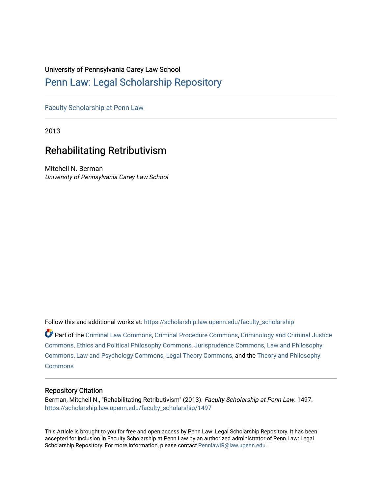# University of Pennsylvania Carey Law School

# [Penn Law: Legal Scholarship Repository](https://scholarship.law.upenn.edu/)

[Faculty Scholarship at Penn Law](https://scholarship.law.upenn.edu/faculty_scholarship)

2013

# Rehabilitating Retributivism

Mitchell N. Berman University of Pennsylvania Carey Law School

Follow this and additional works at: [https://scholarship.law.upenn.edu/faculty\\_scholarship](https://scholarship.law.upenn.edu/faculty_scholarship?utm_source=scholarship.law.upenn.edu%2Ffaculty_scholarship%2F1497&utm_medium=PDF&utm_campaign=PDFCoverPages) 

Part of the [Criminal Law Commons,](http://network.bepress.com/hgg/discipline/912?utm_source=scholarship.law.upenn.edu%2Ffaculty_scholarship%2F1497&utm_medium=PDF&utm_campaign=PDFCoverPages) [Criminal Procedure Commons,](http://network.bepress.com/hgg/discipline/1073?utm_source=scholarship.law.upenn.edu%2Ffaculty_scholarship%2F1497&utm_medium=PDF&utm_campaign=PDFCoverPages) [Criminology and Criminal Justice](http://network.bepress.com/hgg/discipline/367?utm_source=scholarship.law.upenn.edu%2Ffaculty_scholarship%2F1497&utm_medium=PDF&utm_campaign=PDFCoverPages) [Commons](http://network.bepress.com/hgg/discipline/367?utm_source=scholarship.law.upenn.edu%2Ffaculty_scholarship%2F1497&utm_medium=PDF&utm_campaign=PDFCoverPages), [Ethics and Political Philosophy Commons](http://network.bepress.com/hgg/discipline/529?utm_source=scholarship.law.upenn.edu%2Ffaculty_scholarship%2F1497&utm_medium=PDF&utm_campaign=PDFCoverPages), [Jurisprudence Commons,](http://network.bepress.com/hgg/discipline/610?utm_source=scholarship.law.upenn.edu%2Ffaculty_scholarship%2F1497&utm_medium=PDF&utm_campaign=PDFCoverPages) [Law and Philosophy](http://network.bepress.com/hgg/discipline/1299?utm_source=scholarship.law.upenn.edu%2Ffaculty_scholarship%2F1497&utm_medium=PDF&utm_campaign=PDFCoverPages)  [Commons](http://network.bepress.com/hgg/discipline/1299?utm_source=scholarship.law.upenn.edu%2Ffaculty_scholarship%2F1497&utm_medium=PDF&utm_campaign=PDFCoverPages), [Law and Psychology Commons](http://network.bepress.com/hgg/discipline/870?utm_source=scholarship.law.upenn.edu%2Ffaculty_scholarship%2F1497&utm_medium=PDF&utm_campaign=PDFCoverPages), [Legal Theory Commons](http://network.bepress.com/hgg/discipline/369?utm_source=scholarship.law.upenn.edu%2Ffaculty_scholarship%2F1497&utm_medium=PDF&utm_campaign=PDFCoverPages), and the [Theory and Philosophy](http://network.bepress.com/hgg/discipline/1238?utm_source=scholarship.law.upenn.edu%2Ffaculty_scholarship%2F1497&utm_medium=PDF&utm_campaign=PDFCoverPages)  **[Commons](http://network.bepress.com/hgg/discipline/1238?utm_source=scholarship.law.upenn.edu%2Ffaculty_scholarship%2F1497&utm_medium=PDF&utm_campaign=PDFCoverPages)** 

# Repository Citation

Berman, Mitchell N., "Rehabilitating Retributivism" (2013). Faculty Scholarship at Penn Law. 1497. [https://scholarship.law.upenn.edu/faculty\\_scholarship/1497](https://scholarship.law.upenn.edu/faculty_scholarship/1497?utm_source=scholarship.law.upenn.edu%2Ffaculty_scholarship%2F1497&utm_medium=PDF&utm_campaign=PDFCoverPages)

This Article is brought to you for free and open access by Penn Law: Legal Scholarship Repository. It has been accepted for inclusion in Faculty Scholarship at Penn Law by an authorized administrator of Penn Law: Legal Scholarship Repository. For more information, please contact [PennlawIR@law.upenn.edu.](mailto:PennlawIR@law.upenn.edu)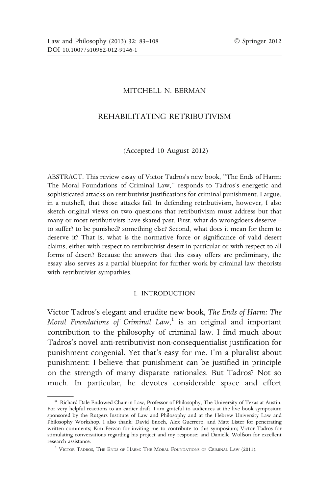#### MITCHELL N. BERMAN

# REHABILITATING RETRIBUTIVISM

(Accepted 10 August 2012)

ABSTRACT. This review essay of Victor Tadros's new book, ''The Ends of Harm: The Moral Foundations of Criminal Law,'' responds to Tadros's energetic and sophisticated attacks on retributivist justifications for criminal punishment. I argue, in a nutshell, that those attacks fail. In defending retributivism, however, I also sketch original views on two questions that retributivism must address but that many or most retributivists have skated past. First, what do wrongdoers deserve – to suffer? to be punished? something else? Second, what does it mean for them to deserve it? That is, what is the normative force or significance of valid desert claims, either with respect to retributivist desert in particular or with respect to all forms of desert? Because the answers that this essay offers are preliminary, the essay also serves as a partial blueprint for further work by criminal law theorists with retributivist sympathies.

#### I. INTRODUCTION

Victor Tadros's elegant and erudite new book, The Ends of Harm: The Moral Foundations of Criminal Law,<sup>1</sup> is an original and important contribution to the philosophy of criminal law. I find much about Tadros's novel anti-retributivist non-consequentialist justification for punishment congenial. Yet that's easy for me. I'm a pluralist about punishment: I believe that punishment can be justified in principle on the strength of many disparate rationales. But Tadros? Not so much. In particular, he devotes considerable space and effort

<sup>\*</sup> Richard Dale Endowed Chair in Law, Professor of Philosophy, The University of Texas at Austin. For very helpful reactions to an earlier draft, I am grateful to audiences at the live book symposium sponsored by the Rutgers Institute of Law and Philosophy and at the Hebrew University Law and Philosophy Workshop. I also thank: David Enoch, Alex Guerrero, and Matt Lister for penetrating written comments; Kim Ferzan for inviting me to contribute to this symposium; Victor Tadros for stimulating conversations regarding his project and my response; and Danielle Wolfson for excellent research assistance.

<sup>&</sup>lt;sup>1</sup> VICTOR TADROS, THE ENDS OF HARM: THE MORAL FOUNDATIONS OF CRIMINAL LAW (2011).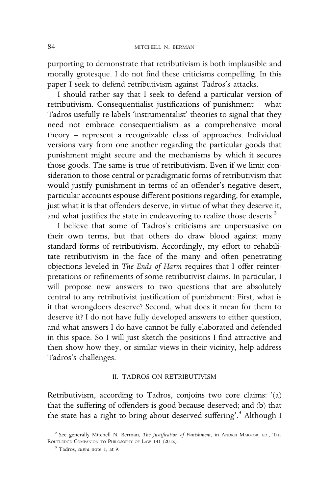purporting to demonstrate that retributivism is both implausible and morally grotesque. I do not find these criticisms compelling. In this paper I seek to defend retributivism against Tadros's attacks.

I should rather say that I seek to defend a particular version of retributivism. Consequentialist justifications of punishment – what Tadros usefully re-labels 'instrumentalist' theories to signal that they need not embrace consequentialism as a comprehensive moral theory – represent a recognizable class of approaches. Individual versions vary from one another regarding the particular goods that punishment might secure and the mechanisms by which it secures those goods. The same is true of retributivism. Even if we limit consideration to those central or paradigmatic forms of retributivism that would justify punishment in terms of an offender's negative desert, particular accounts espouse different positions regarding, for example, just what it is that offenders deserve, in virtue of what they deserve it, and what justifies the state in endeavoring to realize those deserts.<sup>2</sup>

I believe that some of Tadros's criticisms are unpersuasive on their own terms, but that others do draw blood against many standard forms of retributivism. Accordingly, my effort to rehabilitate retributivism in the face of the many and often penetrating objections leveled in The Ends of Harm requires that I offer reinterpretations or refinements of some retributivist claims. In particular, I will propose new answers to two questions that are absolutely central to any retributivist justification of punishment: First, what is it that wrongdoers deserve? Second, what does it mean for them to deserve it? I do not have fully developed answers to either question, and what answers I do have cannot be fully elaborated and defended in this space. So I will just sketch the positions I find attractive and then show how they, or similar views in their vicinity, help address Tadros's challenges.

### II. TADROS ON RETRIBUTIVISM

Retributivism, according to Tadros, conjoins two core claims: '(a) that the suffering of offenders is good because deserved; and (b) that the state has a right to bring about deserved suffering'.<sup>3</sup> Although I

<sup>&</sup>lt;sup>2</sup> See generally Mitchell N. Berman, The Justification of Punishment, in ANDREI MARMOR, ED., THE ROUTLEDGE COMPANION TO PHILOSOPHY OF LAW 141 (2012).

<sup>3</sup> Tadros, supra note 1, at 9.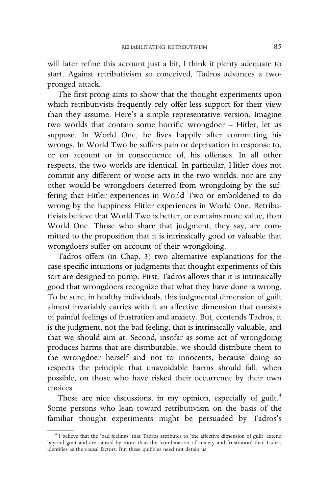will later refine this account just a bit, I think it plenty adequate to start. Against retributivism so conceived, Tadros advances a twopronged attack.

The first prong aims to show that the thought experiments upon which retributivists frequently rely offer less support for their view than they assume. Here's a simple representative version. Imagine two worlds that contain some horrific wrongdoer – Hitler, let us suppose. In World One, he lives happily after committing his wrongs. In World Two he suffers pain or deprivation in response to, or on account or in consequence of, his offenses. In all other respects, the two worlds are identical. In particular, Hitler does not commit any different or worse acts in the two worlds, nor are any other would-be wrongdoers deterred from wrongdoing by the suffering that Hitler experiences in World Two or emboldened to do wrong by the happiness Hitler experiences in World One. Retributivists believe that World Two is better, or contains more value, than World One. Those who share that judgment, they say, are committed to the proposition that it is intrinsically good or valuable that wrongdoers suffer on account of their wrongdoing.

Tadros offers (in Chap. 3) two alternative explanations for the case-specific intuitions or judgments that thought experiments of this sort are designed to pump. First, Tadros allows that it is intrinsically good that wrongdoers recognize that what they have done is wrong. To be sure, in healthy individuals, this judgmental dimension of guilt almost invariably carries with it an affective dimension that consists of painful feelings of frustration and anxiety. But, contends Tadros, it is the judgment, not the bad feeling, that is intrinsically valuable, and that we should aim at. Second, insofar as some act of wrongdoing produces harms that are distributable, we should distribute them to the wrongdoer herself and not to innocents, because doing so respects the principle that unavoidable harms should fall, when possible, on those who have risked their occurrence by their own choices.

These are nice discussions, in my opinion, especially of guilt.<sup>4</sup> Some persons who lean toward retributivism on the basis of the familiar thought experiments might be persuaded by Tadros's

<sup>&</sup>lt;sup>4</sup> I believe that the 'bad feelings' that Tadros attributes to 'the affective dimension of guilt' extend beyond guilt and are caused by more than the 'combination of anxiety and frustration' that Tadros identifies as the causal factors. But these quibbles need not detain us.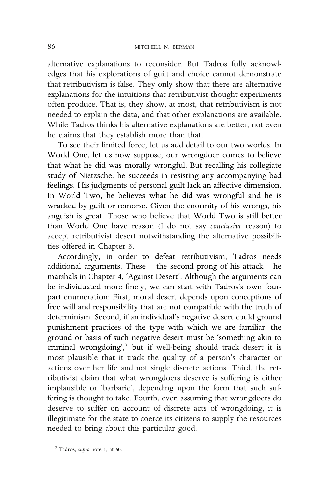alternative explanations to reconsider. But Tadros fully acknowledges that his explorations of guilt and choice cannot demonstrate that retributivism is false. They only show that there are alternative explanations for the intuitions that retributivist thought experiments often produce. That is, they show, at most, that retributivism is not needed to explain the data, and that other explanations are available. While Tadros thinks his alternative explanations are better, not even he claims that they establish more than that.

To see their limited force, let us add detail to our two worlds. In World One, let us now suppose, our wrongdoer comes to believe that what he did was morally wrongful. But recalling his collegiate study of Nietzsche, he succeeds in resisting any accompanying bad feelings. His judgments of personal guilt lack an affective dimension. In World Two, he believes what he did was wrongful and he is wracked by guilt or remorse. Given the enormity of his wrongs, his anguish is great. Those who believe that World Two is still better than World One have reason (I do not say conclusive reason) to accept retributivist desert notwithstanding the alternative possibilities offered in Chapter 3.

Accordingly, in order to defeat retributivism, Tadros needs additional arguments. These – the second prong of his attack – he marshals in Chapter 4, 'Against Desert'. Although the arguments can be individuated more finely, we can start with Tadros's own fourpart enumeration: First, moral desert depends upon conceptions of free will and responsibility that are not compatible with the truth of determinism. Second, if an individual's negative desert could ground punishment practices of the type with which we are familiar, the ground or basis of such negative desert must be 'something akin to criminal wrongdoing', $5$  but if well-being should track desert it is most plausible that it track the quality of a person's character or actions over her life and not single discrete actions. Third, the retributivist claim that what wrongdoers deserve is suffering is either implausible or 'barbaric', depending upon the form that such suffering is thought to take. Fourth, even assuming that wrongdoers do deserve to suffer on account of discrete acts of wrongdoing, it is illegitimate for the state to coerce its citizens to supply the resources needed to bring about this particular good.

<sup>5</sup> Tadros, supra note 1, at 60.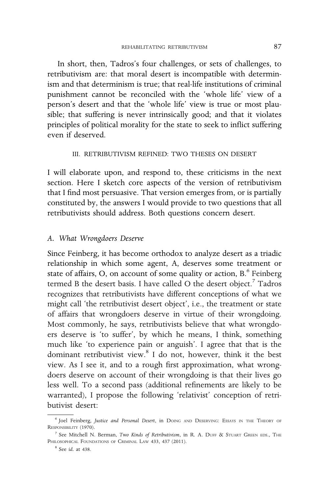In short, then, Tadros's four challenges, or sets of challenges, to retributivism are: that moral desert is incompatible with determinism and that determinism is true; that real-life institutions of criminal punishment cannot be reconciled with the 'whole life' view of a person's desert and that the 'whole life' view is true or most plausible; that suffering is never intrinsically good; and that it violates principles of political morality for the state to seek to inflict suffering even if deserved.

#### III. RETRIBUTIVISM REFINED: TWO THESES ON DESERT

I will elaborate upon, and respond to, these criticisms in the next section. Here I sketch core aspects of the version of retributivism that I find most persuasive. That version emerges from, or is partially constituted by, the answers I would provide to two questions that all retributivists should address. Both questions concern desert.

#### A. What Wrongdoers Deserve

Since Feinberg, it has become orthodox to analyze desert as a triadic relationship in which some agent, A, deserves some treatment or state of affairs, O, on account of some quality or action,  $B<sup>6</sup>$  Feinberg termed B the desert basis. I have called O the desert object.<sup>7</sup> Tadros recognizes that retributivists have different conceptions of what we might call 'the retributivist desert object', i.e., the treatment or state of affairs that wrongdoers deserve in virtue of their wrongdoing. Most commonly, he says, retributivists believe that what wrongdoers deserve is 'to suffer', by which he means, I think, something much like 'to experience pain or anguish'. I agree that that is the dominant retributivist view.<sup>8</sup> I do not, however, think it the best view. As I see it, and to a rough first approximation, what wrongdoers deserve on account of their wrongdoing is that their lives go less well. To a second pass (additional refinements are likely to be warranted), I propose the following 'relativist' conception of retributivist desert:

<sup>&</sup>lt;sup>6</sup> Joel Feinberg, Justice and Personal Desert, in DOING AND DESERVING: ESSAYS IN THE THEORY OF RESPONSIBILITY (1970).

<sup>&</sup>lt;sup>7</sup> See Mitchell N. Berman, Two Kinds of Retributivism, in R. A. DUFF & STUART GREEN EDS., THE PHILOSOPHICAL FOUNDATIONS OF CRIMINAL LAW 433, 437 (2011).

<sup>8</sup> See id. at 438.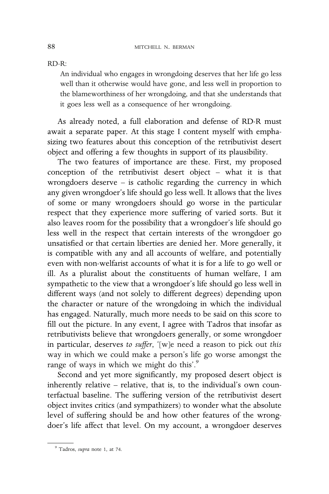RD-R:

An individual who engages in wrongdoing deserves that her life go less well than it otherwise would have gone, and less well in proportion to the blameworthiness of her wrongdoing, and that she understands that it goes less well as a consequence of her wrongdoing.

As already noted, a full elaboration and defense of RD-R must await a separate paper. At this stage I content myself with emphasizing two features about this conception of the retributivist desert object and offering a few thoughts in support of its plausibility.

The two features of importance are these. First, my proposed conception of the retributivist desert object – what it is that wrongdoers deserve – is catholic regarding the currency in which any given wrongdoer's life should go less well. It allows that the lives of some or many wrongdoers should go worse in the particular respect that they experience more suffering of varied sorts. But it also leaves room for the possibility that a wrongdoer's life should go less well in the respect that certain interests of the wrongdoer go unsatisfied or that certain liberties are denied her. More generally, it is compatible with any and all accounts of welfare, and potentially even with non-welfarist accounts of what it is for a life to go well or ill. As a pluralist about the constituents of human welfare, I am sympathetic to the view that a wrongdoer's life should go less well in different ways (and not solely to different degrees) depending upon the character or nature of the wrongdoing in which the individual has engaged. Naturally, much more needs to be said on this score to fill out the picture. In any event, I agree with Tadros that insofar as retributivists believe that wrongdoers generally, or some wrongdoer in particular, deserves to suffer, '[w]e need a reason to pick out this way in which we could make a person's life go worse amongst the range of ways in which we might do this'.<sup>9</sup>

Second and yet more significantly, my proposed desert object is inherently relative – relative, that is, to the individual's own counterfactual baseline. The suffering version of the retributivist desert object invites critics (and sympathizers) to wonder what the absolute level of suffering should be and how other features of the wrongdoer's life affect that level. On my account, a wrongdoer deserves

<sup>&</sup>lt;sup>9</sup> Tadros, *supra* note 1, at 74.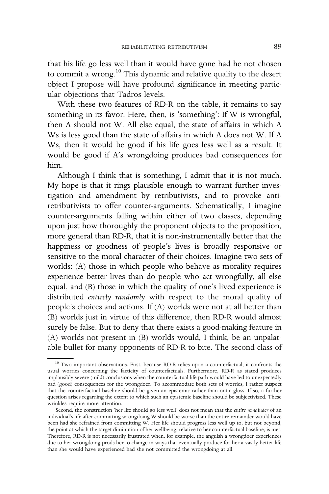that his life go less well than it would have gone had he not chosen to commit a wrong.<sup>10</sup> This dynamic and relative quality to the desert object I propose will have profound significance in meeting particular objections that Tadros levels.

With these two features of RD-R on the table, it remains to say something in its favor. Here, then, is 'something': If W is wrongful, then A should not W. All else equal, the state of affairs in which A Ws is less good than the state of affairs in which A does not W. If A Ws, then it would be good if his life goes less well as a result. It would be good if A's wrongdoing produces bad consequences for him.

Although I think that is something, I admit that it is not much. My hope is that it rings plausible enough to warrant further investigation and amendment by retributivists, and to provoke antiretributivists to offer counter-arguments. Schematically, I imagine counter-arguments falling within either of two classes, depending upon just how thoroughly the proponent objects to the proposition, more general than RD-R, that it is non-instrumentally better that the happiness or goodness of people's lives is broadly responsive or sensitive to the moral character of their choices. Imagine two sets of worlds: (A) those in which people who behave as morality requires experience better lives than do people who act wrongfully, all else equal, and (B) those in which the quality of one's lived experience is distributed entirely randomly with respect to the moral quality of people's choices and actions. If (A) worlds were not at all better than (B) worlds just in virtue of this difference, then RD-R would almost surely be false. But to deny that there exists a good-making feature in (A) worlds not present in (B) worlds would, I think, be an unpalatable bullet for many opponents of RD-R to bite. The second class of

<sup>&</sup>lt;sup>10</sup> Two important observations. First, because RD-R relies upon a counterfactual, it confronts the usual worries concerning the facticity of counterfactuals. Furthermore, RD-R as stated produces implausibly severe (mild) conclusions when the counterfactual life path would have led to unexpectedly bad (good) consequences for the wrongdoer. To accommodate both sets of worries, I rather suspect that the counterfactual baseline should be given an epistemic rather than ontic gloss. If so, a further question arises regarding the extent to which such an epistemic baseline should be subjectivized. These wrinkles require more attention.

Second, the construction 'her life should go less well' does not mean that the entire remainder of an individual's life after committing wrongdoing W should be worse than the entire remainder would have been had she refrained from committing W. Her life should progress less well up to, but not beyond, the point at which the target diminution of her wellbeing, relative to her counterfactual baseline, is met. Therefore, RD-R is not necessarily frustrated when, for example, the anguish a wrongdoer experiences due to her wrongdoing prods her to change in ways that eventually produce for her a vastly better life than she would have experienced had she not committed the wrongdoing at all.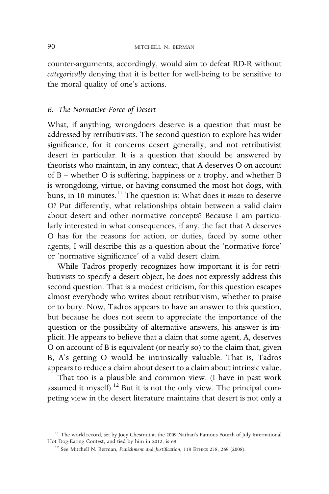counter-arguments, accordingly, would aim to defeat RD-R without categorically denying that it is better for well-being to be sensitive to the moral quality of one's actions.

# B. The Normative Force of Desert

What, if anything, wrongdoers deserve is a question that must be addressed by retributivists. The second question to explore has wider significance, for it concerns desert generally, and not retributivist desert in particular. It is a question that should be answered by theorists who maintain, in any context, that A deserves O on account of B – whether O is suffering, happiness or a trophy, and whether B is wrongdoing, virtue, or having consumed the most hot dogs, with buns, in 10 minutes.<sup>11</sup> The question is: What does it *mean* to deserve O? Put differently, what relationships obtain between a valid claim about desert and other normative concepts? Because I am particularly interested in what consequences, if any, the fact that A deserves O has for the reasons for action, or duties, faced by some other agents, I will describe this as a question about the 'normative force' or 'normative significance' of a valid desert claim.

While Tadros properly recognizes how important it is for retributivists to specify a desert object, he does not expressly address this second question. That is a modest criticism, for this question escapes almost everybody who writes about retributivism, whether to praise or to bury. Now, Tadros appears to have an answer to this question, but because he does not seem to appreciate the importance of the question or the possibility of alternative answers, his answer is implicit. He appears to believe that a claim that some agent, A, deserves O on account of B is equivalent (or nearly so) to the claim that, given B, A's getting O would be intrinsically valuable. That is, Tadros appears to reduce a claim about desert to a claim about intrinsic value.

That too is a plausible and common view. (I have in past work assumed it myself).<sup>12</sup> But it is not the only view. The principal competing view in the desert literature maintains that desert is not only a

<sup>&</sup>lt;sup>11</sup> The world record, set by Joey Chestnut at the 2009 Nathan's Famous Fourth of July International Hot Dog-Eating Contest, and tied by him in 2012, is 68.

<sup>&</sup>lt;sup>12</sup> See Mitchell N. Berman, Punishment and Justification, 118 ETHICS 258, 269 (2008).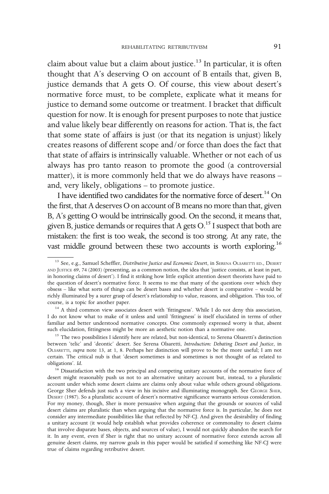claim about value but a claim about justice. $13$  In particular, it is often thought that A's deserving O on account of B entails that, given B, justice demands that A gets O. Of course, this view about desert's normative force must, to be complete, explicate what it means for justice to demand some outcome or treatment. I bracket that difficult question for now. It is enough for present purposes to note that justice and value likely bear differently on reasons for action. That is, the fact that some state of affairs is just (or that its negation is unjust) likely creates reasons of different scope and/or force than does the fact that that state of affairs is intrinsically valuable. Whether or not each of us always has pro tanto reason to promote the good (a controversial matter), it is more commonly held that we do always have reasons – and, very likely, obligations – to promote justice.

I have identified two candidates for the normative force of desert.<sup>14</sup> On the first, that A deserves O on account of B means no more than that, given B, A's getting O would be intrinsically good. On the second, it means that, given B, justice demands or requires that A gets  $O<sup>15</sup>$  I suspect that both are mistaken: the first is too weak, the second is too strong. At any rate, the vast middle ground between these two accounts is worth exploring.<sup>16</sup>

<sup>&</sup>lt;sup>13</sup> See, e.g., Samuel Scheffler, Distributive Justice and Economic Desert, in SERENA OLSARETTI ED., DESERT AND JUSTICE 69, 74 (2003) (presenting, as a common notion, the idea that 'justice consists, at least in part, in honoring claims of desert'). I find it striking how little explicit attention desert theorists have paid to the question of desert's normative force. It seems to me that many of the questions over which they obsess – like what sorts of things can be desert bases and whether desert is comparative – would be richly illuminated by a surer grasp of desert's relationship to value, reasons, and obligation. This too, of course, is a topic for another paper.

<sup>&</sup>lt;sup>14</sup> A third common view associates desert with 'fittingness'. While I do not deny this association, I do not know what to make of it unless and until 'fittingness' is itself elucidated in terms of other familiar and better understood normative concepts. One commonly expressed worry is that, absent such elucidation, fittingness might be more an aesthetic notion than a normative one.

<sup>&</sup>lt;sup>15</sup> The two possibilities I identify here are related, but non-identical, to Serena Olsaretti's distinction between 'telic' and 'deontic' desert. See Serena Olsaretti, Introduction: Debating Desert and Justice, in OLSARETTI, supra note 13, at 1, 8. Perhaps her distinction will prove to be the more useful; I am not certain. The critical nub is that 'desert sometimes is and sometimes is not thought of as related to obligations'. Id.

<sup>&</sup>lt;sup>16</sup> Dissatisfaction with the two principal and competing unitary accounts of the normative force of desert might reasonably push us not to an alternative unitary account but, instead, to a pluralistic account under which some desert claims are claims only about value while others ground obligations. George Sher defends just such a view in his incisive and illuminating monograph. See GEORGE SHER, DESERT (1987). So a pluralistic account of desert's normative significance warrants serious consideration. For my money, though, Sher is more persuasive when arguing that the grounds or sources of valid desert claims are pluralistic than when arguing that the normative force is. In particular, he does not consider any intermediate possibilities like that reflected by NF-CJ. And given the desirability of finding a unitary account (it would help establish what provides coherence or commonality to desert claims that involve disparate bases, objects, and sources of value), I would not quickly abandon the search for it. In any event, even if Sher is right that no unitary account of normative force extends across all genuine desert claims, my narrow goals in this paper would be satisfied if something like NF-CJ were true of claims regarding retributive desert.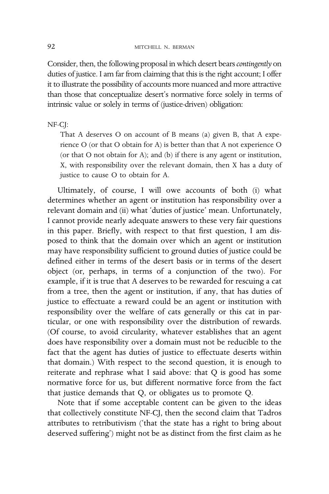Consider, then, the following proposal in which desert bears contingently on duties of justice. I am far from claiming that this is the right account; I offer it to illustrate the possibility of accounts more nuanced and more attractive than those that conceptualize desert's normative force solely in terms of intrinsic value or solely in terms of (justice-driven) obligation:

NF-CJ:

That A deserves O on account of B means (a) given B, that A experience O (or that O obtain for A) is better than that A not experience O (or that O not obtain for A); and (b) if there is any agent or institution, X, with responsibility over the relevant domain, then X has a duty of justice to cause O to obtain for A.

Ultimately, of course, I will owe accounts of both (i) what determines whether an agent or institution has responsibility over a relevant domain and (ii) what 'duties of justice' mean. Unfortunately, I cannot provide nearly adequate answers to these very fair questions in this paper. Briefly, with respect to that first question, I am disposed to think that the domain over which an agent or institution may have responsibility sufficient to ground duties of justice could be defined either in terms of the desert basis or in terms of the desert object (or, perhaps, in terms of a conjunction of the two). For example, if it is true that A deserves to be rewarded for rescuing a cat from a tree, then the agent or institution, if any, that has duties of justice to effectuate a reward could be an agent or institution with responsibility over the welfare of cats generally or this cat in particular, or one with responsibility over the distribution of rewards. (Of course, to avoid circularity, whatever establishes that an agent does have responsibility over a domain must not be reducible to the fact that the agent has duties of justice to effectuate deserts within that domain.) With respect to the second question, it is enough to reiterate and rephrase what I said above: that Q is good has some normative force for us, but different normative force from the fact that justice demands that Q, or obligates us to promote Q.

Note that if some acceptable content can be given to the ideas that collectively constitute NF-CJ, then the second claim that Tadros attributes to retributivism ('that the state has a right to bring about deserved suffering') might not be as distinct from the first claim as he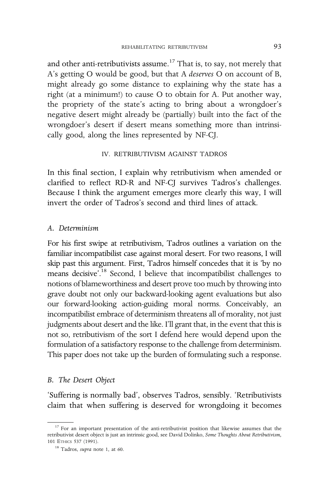and other anti-retributivists assume.<sup>17</sup> That is, to say, not merely that A's getting O would be good, but that A deserves O on account of B, might already go some distance to explaining why the state has a right (at a minimum!) to cause O to obtain for A. Put another way, the propriety of the state's acting to bring about a wrongdoer's negative desert might already be (partially) built into the fact of the wrongdoer's desert if desert means something more than intrinsically good, along the lines represented by NF-CJ.

# IV. RETRIBUTIVISM AGAINST TADROS

In this final section, I explain why retributivism when amended or clarified to reflect RD-R and NF-CJ survives Tadros's challenges. Because I think the argument emerges more clearly this way, I will invert the order of Tadros's second and third lines of attack.

## A. Determinism

For his first swipe at retributivism, Tadros outlines a variation on the familiar incompatibilist case against moral desert. For two reasons, I will skip past this argument. First, Tadros himself concedes that it is 'by no means decisive'.18 Second, I believe that incompatibilist challenges to notions of blameworthiness and desert prove too much by throwing into grave doubt not only our backward-looking agent evaluations but also our forward-looking action-guiding moral norms. Conceivably, an incompatibilist embrace of determinism threatens all of morality, not just judgments about desert and the like. I'll grant that, in the event that this is not so, retributivism of the sort I defend here would depend upon the formulation of a satisfactory response to the challenge from determinism. This paper does not take up the burden of formulating such a response.

#### B. The Desert Object

'Suffering is normally bad', observes Tadros, sensibly. 'Retributivists claim that when suffering is deserved for wrongdoing it becomes

<sup>&</sup>lt;sup>17</sup> For an important presentation of the anti-retributivist position that likewise assumes that the retributivist desert object is just an intrinsic good, see David Dolinko, Some Thoughts About Retributivism, 101 ETHICS 537 (1991).

<sup>&</sup>lt;sup>18</sup> Tadros, *supra* note 1, at 60.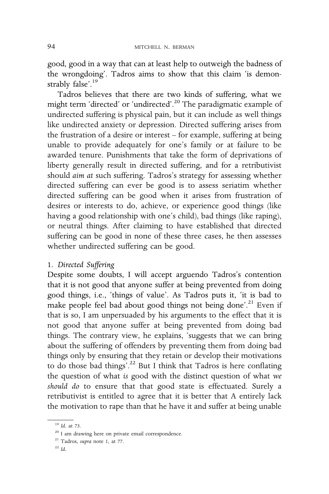good, good in a way that can at least help to outweigh the badness of the wrongdoing'. Tadros aims to show that this claim 'is demonstrably false'.<sup>19</sup>

Tadros believes that there are two kinds of suffering, what we might term 'directed' or 'undirected'.<sup>20</sup> The paradigmatic example of undirected suffering is physical pain, but it can include as well things like undirected anxiety or depression. Directed suffering arises from the frustration of a desire or interest – for example, suffering at being unable to provide adequately for one's family or at failure to be awarded tenure. Punishments that take the form of deprivations of liberty generally result in directed suffering, and for a retributivist should aim at such suffering. Tadros's strategy for assessing whether directed suffering can ever be good is to assess seriatim whether directed suffering can be good when it arises from frustration of desires or interests to do, achieve, or experience good things (like having a good relationship with one's child), bad things (like raping), or neutral things. After claiming to have established that directed suffering can be good in none of these three cases, he then assesses whether undirected suffering can be good.

# 1. Directed Suffering

Despite some doubts, I will accept arguendo Tadros's contention that it is not good that anyone suffer at being prevented from doing good things, i.e., 'things of value'. As Tadros puts it, 'it is bad to make people feel bad about good things not being done'.<sup>21</sup> Even if that is so, I am unpersuaded by his arguments to the effect that it is not good that anyone suffer at being prevented from doing bad things. The contrary view, he explains, 'suggests that we can bring about the suffering of offenders by preventing them from doing bad things only by ensuring that they retain or develop their motivations to do those bad things'.<sup>22</sup> But I think that Tadros is here conflating the question of what is good with the distinct question of what we should do to ensure that that good state is effectuated. Surely a retributivist is entitled to agree that it is better that A entirely lack the motivation to rape than that he have it and suffer at being unable

<sup>&</sup>lt;sup>19</sup> Id. at 73.

<sup>&</sup>lt;sup>20</sup> I am drawing here on private email correspondence.

<sup>21</sup> Tadros, supra note 1, at 77.

 $22$  Id.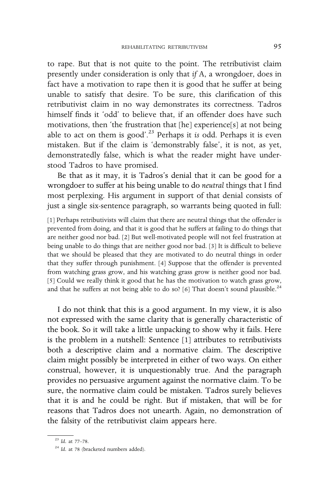to rape. But that is not quite to the point. The retributivist claim presently under consideration is only that if A, a wrongdoer, does in fact have a motivation to rape then it is good that he suffer at being unable to satisfy that desire. To be sure, this clarification of this retributivist claim in no way demonstrates its correctness. Tadros himself finds it 'odd' to believe that, if an offender does have such motivations, then 'the frustration that [he] experience[s] at not being able to act on them is good'.<sup>23</sup> Perhaps it is odd. Perhaps it is even mistaken. But if the claim is 'demonstrably false', it is not, as yet, demonstratedly false, which is what the reader might have understood Tadros to have promised.

Be that as it may, it is Tadros's denial that it can be good for a wrongdoer to suffer at his being unable to do neutral things that I find most perplexing. His argument in support of that denial consists of just a single six-sentence paragraph, so warrants being quoted in full:

[1] Perhaps retributivists will claim that there are neutral things that the offender is prevented from doing, and that it is good that he suffers at failing to do things that are neither good nor bad. [2] But well-motivated people will not feel frustration at being unable to do things that are neither good nor bad. [3] It is difficult to believe that we should be pleased that they are motivated to do neutral things in order that they suffer through punishment. [4] Suppose that the offender is prevented from watching grass grow, and his watching grass grow is neither good nor bad. [5] Could we really think it good that he has the motivation to watch grass grow, and that he suffers at not being able to do so? [6] That doesn't sound plausible.<sup>24</sup>

I do not think that this is a good argument. In my view, it is also not expressed with the same clarity that is generally characteristic of the book. So it will take a little unpacking to show why it fails. Here is the problem in a nutshell: Sentence [1] attributes to retributivists both a descriptive claim and a normative claim. The descriptive claim might possibly be interpreted in either of two ways. On either construal, however, it is unquestionably true. And the paragraph provides no persuasive argument against the normative claim. To be sure, the normative claim could be mistaken. Tadros surely believes that it is and he could be right. But if mistaken, that will be for reasons that Tadros does not unearth. Again, no demonstration of the falsity of the retributivist claim appears here.

<sup>23</sup> Id. at 77–78.

<sup>&</sup>lt;sup>24</sup> Id. at 78 (bracketed numbers added).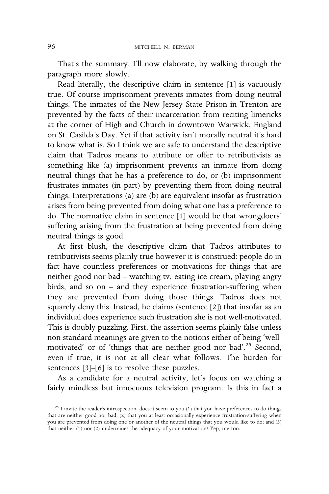That's the summary. I'll now elaborate, by walking through the paragraph more slowly.

Read literally, the descriptive claim in sentence [1] is vacuously true. Of course imprisonment prevents inmates from doing neutral things. The inmates of the New Jersey State Prison in Trenton are prevented by the facts of their incarceration from reciting limericks at the corner of High and Church in downtown Warwick, England on St. Casilda's Day. Yet if that activity isn't morally neutral it's hard to know what is. So I think we are safe to understand the descriptive claim that Tadros means to attribute or offer to retributivists as something like (a) imprisonment prevents an inmate from doing neutral things that he has a preference to do, or (b) imprisonment frustrates inmates (in part) by preventing them from doing neutral things. Interpretations (a) are (b) are equivalent insofar as frustration arises from being prevented from doing what one has a preference to do. The normative claim in sentence [1] would be that wrongdoers' suffering arising from the frustration at being prevented from doing neutral things is good.

At first blush, the descriptive claim that Tadros attributes to retributivists seems plainly true however it is construed: people do in fact have countless preferences or motivations for things that are neither good nor bad – watching tv, eating ice cream, playing angry birds, and so on – and they experience frustration-suffering when they are prevented from doing those things. Tadros does not squarely deny this. Instead, he claims (sentence [2]) that insofar as an individual does experience such frustration she is not well-motivated. This is doubly puzzling. First, the assertion seems plainly false unless non-standard meanings are given to the notions either of being 'wellmotivated' or of 'things that are neither good nor bad'.<sup>25</sup> Second, even if true, it is not at all clear what follows. The burden for sentences [3]–[6] is to resolve these puzzles.

As a candidate for a neutral activity, let's focus on watching a fairly mindless but innocuous television program. Is this in fact a

 $25$  I invite the reader's introspection: does it seem to you (1) that you have preferences to do things that are neither good nor bad; (2) that you at least occasionally experience frustration-suffering when you are prevented from doing one or another of the neutral things that you would like to do; and (3) that neither (1) nor (2) undermines the adequacy of your motivation? Yep, me too.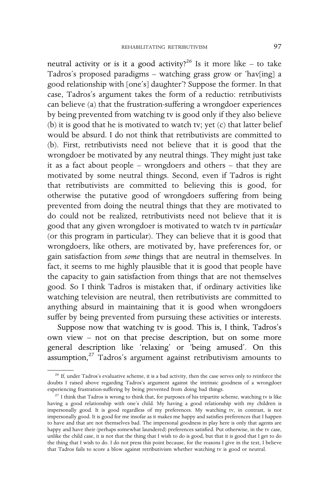neutral activity or is it a good activity?<sup>26</sup> Is it more like – to take Tadros's proposed paradigms – watching grass grow or 'hav[ing] a good relationship with [one's] daughter'? Suppose the former. In that case, Tadros's argument takes the form of a reductio: retributivists can believe (a) that the frustration-suffering a wrongdoer experiences by being prevented from watching tv is good only if they also believe (b) it is good that he is motivated to watch tv; yet (c) that latter belief would be absurd. I do not think that retributivists are committed to (b). First, retributivists need not believe that it is good that the wrongdoer be motivated by any neutral things. They might just take it as a fact about people – wrongdoers and others – that they are motivated by some neutral things. Second, even if Tadros is right that retributivists are committed to believing this is good, for otherwise the putative good of wrongdoers suffering from being prevented from doing the neutral things that they are motivated to do could not be realized, retributivists need not believe that it is good that any given wrongdoer is motivated to watch tv in particular (or this program in particular). They can believe that it is good that wrongdoers, like others, are motivated by, have preferences for, or gain satisfaction from some things that are neutral in themselves. In fact, it seems to me highly plausible that it is good that people have the capacity to gain satisfaction from things that are not themselves good. So I think Tadros is mistaken that, if ordinary activities like watching television are neutral, then retributivists are committed to anything absurd in maintaining that it is good when wrongdoers suffer by being prevented from pursuing these activities or interests.

Suppose now that watching tv is good. This is, I think, Tadros's own view – not on that precise description, but on some more general description like 'relaxing' or 'being amused'. On this assumption, $27$  Tadros's argument against retributivism amounts to

<sup>&</sup>lt;sup>26</sup> If, under Tadros's evaluative scheme, it is a bad activity, then the case serves only to reinforce the doubts I raised above regarding Tadros's argument against the intrinsic goodness of a wrongdoer experiencing frustration-suffering by being prevented from doing bad things.

 $^{27}$  I think that Tadros is wrong to think that, for purposes of his tripartite scheme, watching tv is like having a good relationship with one's child. My having a good relationship with my children is impersonally good. It is good regardless of my preferences. My watching tv, in contrast, is not impersonally good. It is good for me insofar as it makes me happy and satisfies preferences that I happen to have and that are not themselves bad. The impersonal goodness in play here is only that agents are happy and have their (perhaps somewhat laundered) preferences satisfied. Put otherwise, in the tv case, unlike the child case, it is not that the thing that I wish to do is good, but that it is good that I get to do the thing that I wish to do. I do not press this point because, for the reasons I give in the text, I believe that Tadros fails to score a blow against retributivism whether watching tv is good or neutral.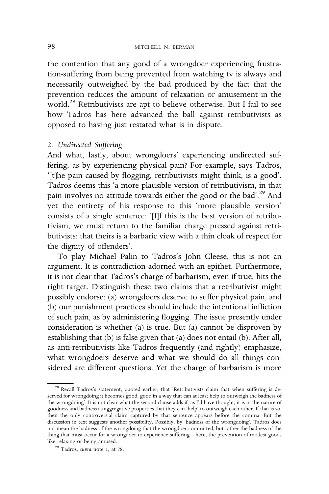the contention that any good of a wrongdoer experiencing frustration-suffering from being prevented from watching tv is always and necessarily outweighed by the bad produced by the fact that the prevention reduces the amount of relaxation or amusement in the world.<sup>28</sup> Retributivists are apt to believe otherwise. But I fail to see how Tadros has here advanced the ball against retributivists as opposed to having just restated what is in dispute.

### 2. Undirected Suffering

And what, lastly, about wrongdoers' experiencing undirected suffering, as by experiencing physical pain? For example, says Tadros, '[t]he pain caused by flogging, retributivists might think, is a good'. Tadros deems this 'a more plausible version of retributivism, in that pain involves no attitude towards either the good or the bad'.<sup>29</sup> And yet the entirety of his response to this 'more plausible version' consists of a single sentence: '[I]f this is the best version of retributivism, we must return to the familiar charge pressed against retributivists: that theirs is a barbaric view with a thin cloak of respect for the dignity of offenders'.

To play Michael Palin to Tadros's John Cleese, this is not an argument. It is contradiction adorned with an epithet. Furthermore, it is not clear that Tadros's charge of barbarism, even if true, hits the right target. Distinguish these two claims that a retributivist might possibly endorse: (a) wrongdoers deserve to suffer physical pain, and (b) our punishment practices should include the intentional infliction of such pain, as by administering flogging. The issue presently under consideration is whether (a) is true. But (a) cannot be disproven by establishing that (b) is false given that (a) does not entail (b). After all, as anti-retributivists like Tadros frequently (and rightly) emphasize, what wrongdoers deserve and what we should do all things considered are different questions. Yet the charge of barbarism is more

<sup>&</sup>lt;sup>28</sup> Recall Tadros's statement, quoted earlier, that 'Retributivists claim that when suffering is deserved for wrongdoing it becomes good, good in a way that can at least help to outweigh the badness of the wrongdoing'. It is not clear what the second clause adds if, as I'd have thought, it is in the nature of goodness and badness as aggregative properties that they can 'help' to outweigh each other. If that is so, then the only controversial claim captured by that sentence appears before the comma. But the discussion in text suggests another possibility. Possibly, by 'badness of the wrongdoing', Tadros does not mean the badness of the wrongdoing that the wrongdoer committed, but rather the badness of the thing that must occur for a wrongdoer to experience suffering – here, the prevention of modest goods like relaxing or being amused.

<sup>&</sup>lt;sup>29</sup> Tadros, *supra* note 1, at 78.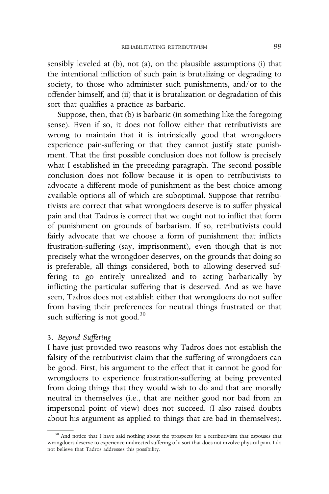sensibly leveled at (b), not (a), on the plausible assumptions (i) that the intentional infliction of such pain is brutalizing or degrading to society, to those who administer such punishments, and/or to the offender himself, and (ii) that it is brutalization or degradation of this sort that qualifies a practice as barbaric.

Suppose, then, that (b) is barbaric (in something like the foregoing sense). Even if so, it does not follow either that retributivists are wrong to maintain that it is intrinsically good that wrongdoers experience pain-suffering or that they cannot justify state punishment. That the first possible conclusion does not follow is precisely what I established in the preceding paragraph. The second possible conclusion does not follow because it is open to retributivists to advocate a different mode of punishment as the best choice among available options all of which are suboptimal. Suppose that retributivists are correct that what wrongdoers deserve is to suffer physical pain and that Tadros is correct that we ought not to inflict that form of punishment on grounds of barbarism. If so, retributivists could fairly advocate that we choose a form of punishment that inflicts frustration-suffering (say, imprisonment), even though that is not precisely what the wrongdoer deserves, on the grounds that doing so is preferable, all things considered, both to allowing deserved suffering to go entirely unrealized and to acting barbarically by inflicting the particular suffering that is deserved. And as we have seen, Tadros does not establish either that wrongdoers do not suffer from having their preferences for neutral things frustrated or that such suffering is not good.<sup>30</sup>

# 3. Beyond Suffering

I have just provided two reasons why Tadros does not establish the falsity of the retributivist claim that the suffering of wrongdoers can be good. First, his argument to the effect that it cannot be good for wrongdoers to experience frustration-suffering at being prevented from doing things that they would wish to do and that are morally neutral in themselves (i.e., that are neither good nor bad from an impersonal point of view) does not succeed. (I also raised doubts about his argument as applied to things that are bad in themselves).

<sup>&</sup>lt;sup>30</sup> And notice that I have said nothing about the prospects for a retributivism that espouses that wrongdoers deserve to experience undirected suffering of a sort that does not involve physical pain. I do not believe that Tadros addresses this possibility.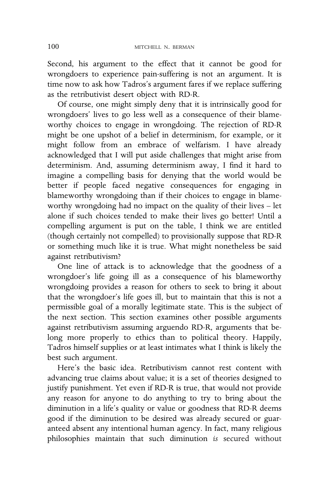Second, his argument to the effect that it cannot be good for wrongdoers to experience pain-suffering is not an argument. It is time now to ask how Tadros's argument fares if we replace suffering as the retributivist desert object with RD-R.

Of course, one might simply deny that it is intrinsically good for wrongdoers' lives to go less well as a consequence of their blameworthy choices to engage in wrongdoing. The rejection of RD-R might be one upshot of a belief in determinism, for example, or it might follow from an embrace of welfarism. I have already acknowledged that I will put aside challenges that might arise from determinism. And, assuming determinism away, I find it hard to imagine a compelling basis for denying that the world would be better if people faced negative consequences for engaging in blameworthy wrongdoing than if their choices to engage in blameworthy wrongdoing had no impact on the quality of their lives – let alone if such choices tended to make their lives go better! Until a compelling argument is put on the table, I think we are entitled (though certainly not compelled) to provisionally suppose that RD-R or something much like it is true. What might nonetheless be said against retributivism?

One line of attack is to acknowledge that the goodness of a wrongdoer's life going ill as a consequence of his blameworthy wrongdoing provides a reason for others to seek to bring it about that the wrongdoer's life goes ill, but to maintain that this is not a permissible goal of a morally legitimate state. This is the subject of the next section. This section examines other possible arguments against retributivism assuming arguendo RD-R, arguments that belong more properly to ethics than to political theory. Happily, Tadros himself supplies or at least intimates what I think is likely the best such argument.

Here's the basic idea. Retributivism cannot rest content with advancing true claims about value; it is a set of theories designed to justify punishment. Yet even if RD-R is true, that would not provide any reason for anyone to do anything to try to bring about the diminution in a life's quality or value or goodness that RD-R deems good if the diminution to be desired was already secured or guaranteed absent any intentional human agency. In fact, many religious philosophies maintain that such diminution is secured without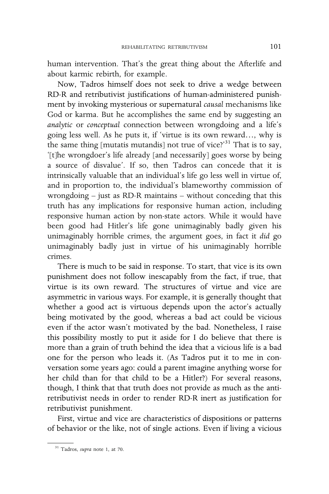human intervention. That's the great thing about the Afterlife and about karmic rebirth, for example.

Now, Tadros himself does not seek to drive a wedge between RD-R and retributivist justifications of human-administered punishment by invoking mysterious or supernatural causal mechanisms like God or karma. But he accomplishes the same end by suggesting an analytic or conceptual connection between wrongdoing and a life's going less well. As he puts it, if 'virtue is its own reward…, why is the same thing [mutatis mutandis] not true of vice?<sup>31</sup> That is to say, '[t]he wrongdoer's life already [and necessarily] goes worse by being a source of disvalue'. If so, then Tadros can concede that it is intrinsically valuable that an individual's life go less well in virtue of, and in proportion to, the individual's blameworthy commission of wrongdoing – just as RD-R maintains – without conceding that this truth has any implications for responsive human action, including responsive human action by non-state actors. While it would have been good had Hitler's life gone unimaginably badly given his unimaginably horrible crimes, the argument goes, in fact it did go unimaginably badly just in virtue of his unimaginably horrible crimes.

There is much to be said in response. To start, that vice is its own punishment does not follow inescapably from the fact, if true, that virtue is its own reward. The structures of virtue and vice are asymmetric in various ways. For example, it is generally thought that whether a good act is virtuous depends upon the actor's actually being motivated by the good, whereas a bad act could be vicious even if the actor wasn't motivated by the bad. Nonetheless, I raise this possibility mostly to put it aside for I do believe that there is more than a grain of truth behind the idea that a vicious life is a bad one for the person who leads it. (As Tadros put it to me in conversation some years ago: could a parent imagine anything worse for her child than for that child to be a Hitler?) For several reasons, though, I think that that truth does not provide as much as the antiretributivist needs in order to render RD-R inert as justification for retributivist punishment.

First, virtue and vice are characteristics of dispositions or patterns of behavior or the like, not of single actions. Even if living a vicious

<sup>&</sup>lt;sup>31</sup> Tadros, supra note 1, at 70.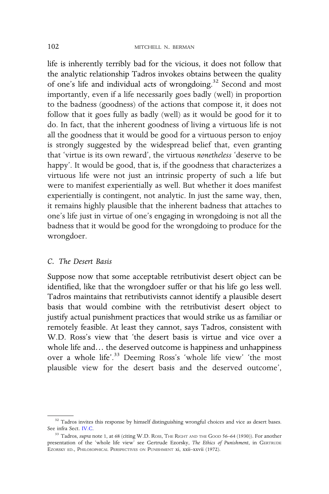life is inherently terribly bad for the vicious, it does not follow that the analytic relationship Tadros invokes obtains between the quality of one's life and individual acts of wrongdoing.<sup>32</sup> Second and most importantly, even if a life necessarily goes badly (well) in proportion to the badness (goodness) of the actions that compose it, it does not follow that it goes fully as badly (well) as it would be good for it to do. In fact, that the inherent goodness of living a virtuous life is not all the goodness that it would be good for a virtuous person to enjoy is strongly suggested by the widespread belief that, even granting that 'virtue is its own reward', the virtuous nonetheless 'deserve to be happy'. It would be good, that is, if the goodness that characterizes a virtuous life were not just an intrinsic property of such a life but were to manifest experientially as well. But whether it does manifest experientially is contingent, not analytic. In just the same way, then, it remains highly plausible that the inherent badness that attaches to one's life just in virtue of one's engaging in wrongdoing is not all the badness that it would be good for the wrongdoing to produce for the wrongdoer.

## C. The Desert Basis

Suppose now that some acceptable retributivist desert object can be identified, like that the wrongdoer suffer or that his life go less well. Tadros maintains that retributivists cannot identify a plausible desert basis that would combine with the retributivist desert object to justify actual punishment practices that would strike us as familiar or remotely feasible. At least they cannot, says Tadros, consistent with W.D. Ross's view that 'the desert basis is virtue and vice over a whole life and… the deserved outcome is happiness and unhappiness over a whole life'.<sup>33</sup> Deeming Ross's 'whole life view' 'the most plausible view for the desert basis and the deserved outcome',

 $32$  Tadros invites this response by himself distinguishing wrongful choices and vice as desert bases. See infra Sect. IV.C.

<sup>&</sup>lt;sup>33</sup> Tadros, supra note 1, at 68 (citing W.D. Ross, THE RIGHT AND THE GOOD 56-64 (1930)). For another presentation of the 'whole life view' see Gertrude Ezorsky, The Ethics of Punishment, in GERTRUDE EZORSKY ED., PHILOSOPHICAL PERSPECTIVES ON PUNISHMENT xi, xxii–xxvii (1972).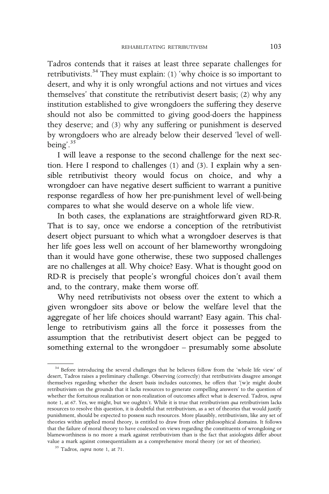Tadros contends that it raises at least three separate challenges for retributivists.<sup>34</sup> They must explain: (1) 'why choice is so important to desert, and why it is only wrongful actions and not virtues and vices themselves' that constitute the retributivist desert basis; (2) why any institution established to give wrongdoers the suffering they deserve should not also be committed to giving good-doers the happiness they deserve; and (3) why any suffering or punishment is deserved by wrongdoers who are already below their deserved 'level of wellbeing'.<sup>35</sup>

I will leave a response to the second challenge for the next section. Here I respond to challenges (1) and (3). I explain why a sensible retributivist theory would focus on choice, and why a wrongdoer can have negative desert sufficient to warrant a punitive response regardless of how her pre-punishment level of well-being compares to what she would deserve on a whole life view.

In both cases, the explanations are straightforward given RD-R. That is to say, once we endorse a conception of the retributivist desert object pursuant to which what a wrongdoer deserves is that her life goes less well on account of her blameworthy wrongdoing than it would have gone otherwise, these two supposed challenges are no challenges at all. Why choice? Easy. What is thought good on RD-R is precisely that people's wrongful choices don't avail them and, to the contrary, make them worse off.

Why need retributivists not obsess over the extent to which a given wrongdoer sits above or below the welfare level that the aggregate of her life choices should warrant? Easy again. This challenge to retributivism gains all the force it possesses from the assumption that the retributivist desert object can be pegged to something external to the wrongdoer – presumably some absolute

<sup>&</sup>lt;sup>34</sup> Before introducing the several challenges that he believes follow from the 'whole life view' of desert, Tadros raises a preliminary challenge. Observing (correctly) that retributivists disagree amongst themselves regarding whether the desert basis includes outcomes, he offers that '[w]e might doubt retributivism on the grounds that it lacks resources to generate compelling answers' to the question of whether the fortuitous realization or non-realization of outcomes affect what is deserved. Tadros, supra note 1, at 67. Yes, we might, but we oughtn't. While it is true that retributivism qua retributivism lacks resources to resolve this question, it is doubtful that retributivism, as a set of theories that would justify punishment, should be expected to possess such resources. More plausibly, retributivism, like any set of theories within applied moral theory, is entitled to draw from other philosophical domains. It follows that the failure of moral theory to have coalesced on views regarding the constituents of wrongdoing or blameworthiness is no more a mark against retributivism than is the fact that axiologists differ about value a mark against consequentialism as a comprehensive moral theory (or set of theories).

<sup>&</sup>lt;sup>35</sup> Tadros, supra note 1, at 71.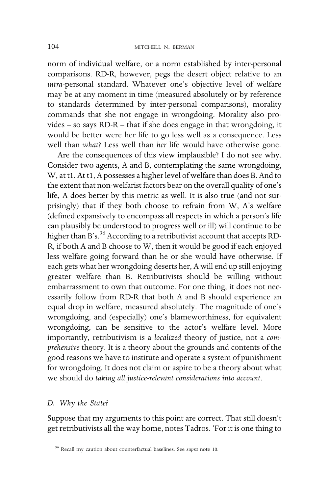norm of individual welfare, or a norm established by inter-personal comparisons. RD-R, however, pegs the desert object relative to an intra-personal standard. Whatever one's objective level of welfare may be at any moment in time (measured absolutely or by reference to standards determined by inter-personal comparisons), morality commands that she not engage in wrongdoing. Morality also provides – so says RD-R – that if she does engage in that wrongdoing, it would be better were her life to go less well as a consequence. Less well than what? Less well than her life would have otherwise gone.

Are the consequences of this view implausible? I do not see why. Consider two agents, A and B, contemplating the same wrongdoing, W, at t1. At t1, A possesses a higher level of welfare than does B. And to the extent that non-welfarist factors bear on the overall quality of one's life, A does better by this metric as well. It is also true (and not surprisingly) that if they both choose to refrain from W, A's welfare (defined expansively to encompass all respects in which a person's life can plausibly be understood to progress well or ill) will continue to be higher than B's.<sup>36</sup> According to a retributivist account that accepts RD-R, if both A and B choose to W, then it would be good if each enjoyed less welfare going forward than he or she would have otherwise. If each gets what her wrongdoing deserts her, A will end up still enjoying greater welfare than B. Retributivists should be willing without embarrassment to own that outcome. For one thing, it does not necessarily follow from RD-R that both A and B should experience an equal drop in welfare, measured absolutely. The magnitude of one's wrongdoing, and (especially) one's blameworthiness, for equivalent wrongdoing, can be sensitive to the actor's welfare level. More importantly, retributivism is a localized theory of justice, not a comprehensive theory. It is a theory about the grounds and contents of the good reasons we have to institute and operate a system of punishment for wrongdoing. It does not claim or aspire to be a theory about what we should do taking all justice-relevant considerations into account.

## D. Why the State?

Suppose that my arguments to this point are correct. That still doesn't get retributivists all the way home, notes Tadros. 'For it is one thing to

<sup>&</sup>lt;sup>36</sup> Recall my caution about counterfactual baselines. See supra note 10.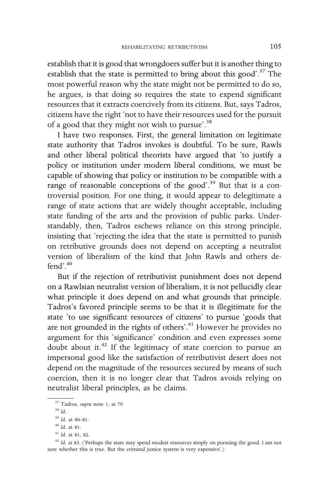establish that it is good that wrongdoers suffer but it is another thing to establish that the state is permitted to bring about this good'.<sup>37</sup> The most powerful reason why the state might not be permitted to do so, he argues, is that doing so requires the state to expend significant resources that it extracts coercively from its citizens. But, says Tadros, citizens have the right 'not to have their resources used for the pursuit of a good that they might not wish to pursue'.<sup>38</sup>

I have two responses. First, the general limitation on legitimate state authority that Tadros invokes is doubtful. To be sure, Rawls and other liberal political theorists have argued that 'to justify a policy or institution under modern liberal conditions, we must be capable of showing that policy or institution to be compatible with a range of reasonable conceptions of the good'.<sup>39</sup> But that is a controversial position. For one thing, it would appear to delegitimate a range of state actions that are widely thought acceptable, including state funding of the arts and the provision of public parks. Understandably, then, Tadros eschews reliance on this strong principle, insisting that 'rejecting the idea that the state is permitted to punish on retributive grounds does not depend on accepting a neutralist version of liberalism of the kind that John Rawls and others defend' $10^{40}$ 

But if the rejection of retributivist punishment does not depend on a Rawlsian neutralist version of liberalism, it is not pellucidly clear what principle it does depend on and what grounds that principle. Tadros's favored principle seems to be that it is illegitimate for the state 'to use significant resources of citizens' to pursue 'goods that are not grounded in the rights of others'.<sup>41</sup> However he provides no argument for this 'significance' condition and even expresses some doubt about it.<sup>42</sup> If the legitimacy of state coercion to pursue an impersonal good like the satisfaction of retributivist desert does not depend on the magnitude of the resources secured by means of such coercion, then it is no longer clear that Tadros avoids relying on neutralist liberal principles, as he claims.

<sup>37</sup> Tadros, supra note 1, at 79.

<sup>38</sup> Id.

<sup>39</sup> Id. at 80–81.

 $40$  *Id.* at 81.

<sup>41</sup> Id. at 81, 82.

<sup>&</sup>lt;sup>42</sup> Id. at 83. ('Perhaps the state may spend modest resources simply on pursuing the good. I am not sure whether this is true. But the criminal justice system is very expensive'.)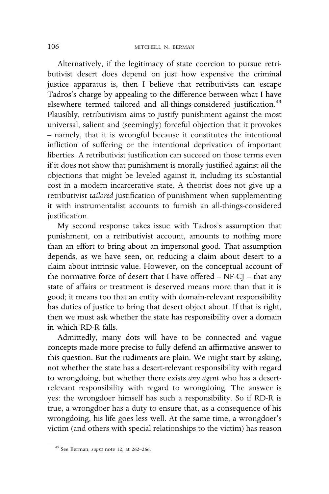Alternatively, if the legitimacy of state coercion to pursue retributivist desert does depend on just how expensive the criminal justice apparatus is, then I believe that retributivists can escape Tadros's charge by appealing to the difference between what I have elsewhere termed tailored and all-things-considered justification.<sup>43</sup> Plausibly, retributivism aims to justify punishment against the most universal, salient and (seemingly) forceful objection that it provokes – namely, that it is wrongful because it constitutes the intentional infliction of suffering or the intentional deprivation of important liberties. A retributivist justification can succeed on those terms even if it does not show that punishment is morally justified against all the objections that might be leveled against it, including its substantial cost in a modern incarcerative state. A theorist does not give up a retributivist tailored justification of punishment when supplementing it with instrumentalist accounts to furnish an all-things-considered justification.

My second response takes issue with Tadros's assumption that punishment, on a retributivist account, amounts to nothing more than an effort to bring about an impersonal good. That assumption depends, as we have seen, on reducing a claim about desert to a claim about intrinsic value. However, on the conceptual account of the normative force of desert that I have offered  $-$  NF-CJ  $-$  that any state of affairs or treatment is deserved means more than that it is good; it means too that an entity with domain-relevant responsibility has duties of justice to bring that desert object about. If that is right, then we must ask whether the state has responsibility over a domain in which RD-R falls.

Admittedly, many dots will have to be connected and vague concepts made more precise to fully defend an affirmative answer to this question. But the rudiments are plain. We might start by asking, not whether the state has a desert-relevant responsibility with regard to wrongdoing, but whether there exists any agent who has a desertrelevant responsibility with regard to wrongdoing. The answer is yes: the wrongdoer himself has such a responsibility. So if RD-R is true, a wrongdoer has a duty to ensure that, as a consequence of his wrongdoing, his life goes less well. At the same time, a wrongdoer's victim (and others with special relationships to the victim) has reason

 $43$  See Berman, supra note 12, at 262-266.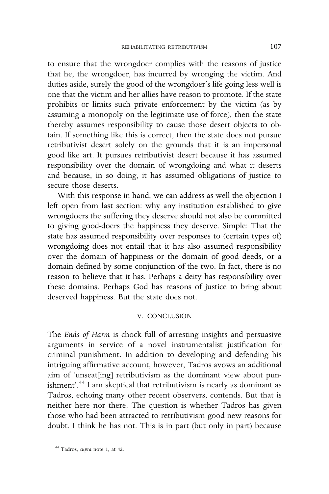to ensure that the wrongdoer complies with the reasons of justice that he, the wrongdoer, has incurred by wronging the victim. And duties aside, surely the good of the wrongdoer's life going less well is one that the victim and her allies have reason to promote. If the state prohibits or limits such private enforcement by the victim (as by assuming a monopoly on the legitimate use of force), then the state thereby assumes responsibility to cause those desert objects to obtain. If something like this is correct, then the state does not pursue retributivist desert solely on the grounds that it is an impersonal good like art. It pursues retributivist desert because it has assumed responsibility over the domain of wrongdoing and what it deserts and because, in so doing, it has assumed obligations of justice to secure those deserts.

With this response in hand, we can address as well the objection I left open from last section: why any institution established to give wrongdoers the suffering they deserve should not also be committed to giving good-doers the happiness they deserve. Simple: That the state has assumed responsibility over responses to (certain types of) wrongdoing does not entail that it has also assumed responsibility over the domain of happiness or the domain of good deeds, or a domain defined by some conjunction of the two. In fact, there is no reason to believe that it has. Perhaps a deity has responsibility over these domains. Perhaps God has reasons of justice to bring about deserved happiness. But the state does not.

#### V. CONCLUSION

The Ends of Harm is chock full of arresting insights and persuasive arguments in service of a novel instrumentalist justification for criminal punishment. In addition to developing and defending his intriguing affirmative account, however, Tadros avows an additional aim of 'unseat[ing] retributivism as the dominant view about punishment'.<sup>44</sup> I am skeptical that retributivism is nearly as dominant as Tadros, echoing many other recent observers, contends. But that is neither here nor there. The question is whether Tadros has given those who had been attracted to retributivism good new reasons for doubt. I think he has not. This is in part (but only in part) because

<sup>44</sup> Tadros, supra note 1, at 42.